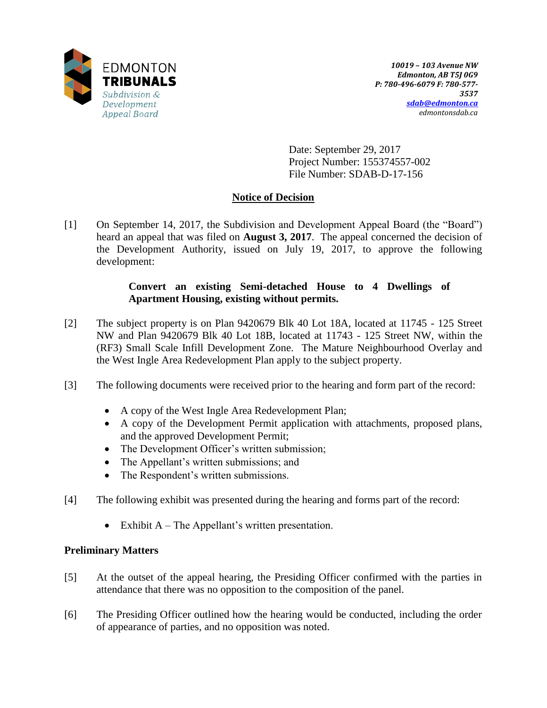

Date: September 29, 2017 Project Number: 155374557-002 File Number: SDAB-D-17-156

# **Notice of Decision**

[1] On September 14, 2017, the Subdivision and Development Appeal Board (the "Board") heard an appeal that was filed on **August 3, 2017**. The appeal concerned the decision of the Development Authority, issued on July 19, 2017, to approve the following development:

# **Convert an existing Semi-detached House to 4 Dwellings of Apartment Housing, existing without permits.**

- [2] The subject property is on Plan 9420679 Blk 40 Lot 18A, located at 11745 125 Street NW and Plan 9420679 Blk 40 Lot 18B, located at 11743 - 125 Street NW, within the (RF3) Small Scale Infill Development Zone. The Mature Neighbourhood Overlay and the West Ingle Area Redevelopment Plan apply to the subject property.
- [3] The following documents were received prior to the hearing and form part of the record:
	- A copy of the West Ingle Area Redevelopment Plan;
	- A copy of the Development Permit application with attachments, proposed plans, and the approved Development Permit;
	- The Development Officer's written submission;
	- The Appellant's written submissions; and
	- The Respondent's written submissions.
- [4] The following exhibit was presented during the hearing and forms part of the record:
	- Exhibit  $A$  The Appellant's written presentation.

## **Preliminary Matters**

- [5] At the outset of the appeal hearing, the Presiding Officer confirmed with the parties in attendance that there was no opposition to the composition of the panel.
- [6] The Presiding Officer outlined how the hearing would be conducted, including the order of appearance of parties, and no opposition was noted.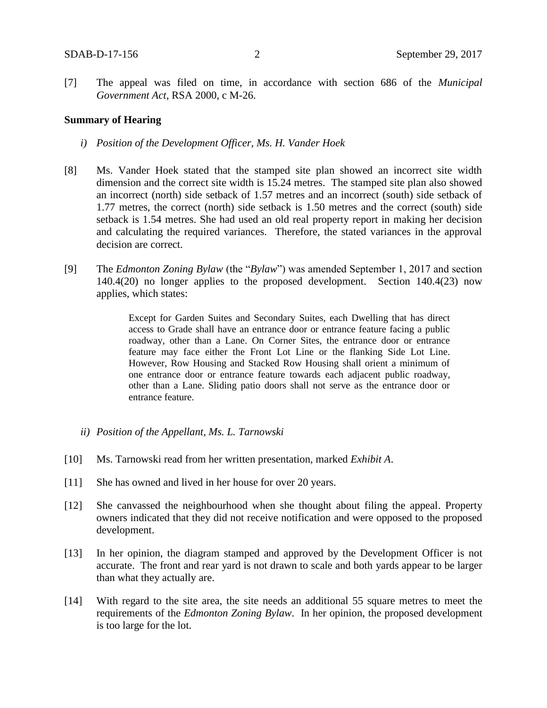[7] The appeal was filed on time, in accordance with section 686 of the *Municipal Government Act*, RSA 2000, c M-26.

### **Summary of Hearing**

- *i) Position of the Development Officer, Ms. H. Vander Hoek*
- [8] Ms. Vander Hoek stated that the stamped site plan showed an incorrect site width dimension and the correct site width is 15.24 metres. The stamped site plan also showed an incorrect (north) side setback of 1.57 metres and an incorrect (south) side setback of 1.77 metres, the correct (north) side setback is 1.50 metres and the correct (south) side setback is 1.54 metres. She had used an old real property report in making her decision and calculating the required variances. Therefore, the stated variances in the approval decision are correct.
- [9] The *Edmonton Zoning Bylaw* (the "*Bylaw*") was amended September 1, 2017 and section 140.4(20) no longer applies to the proposed development. Section 140.4(23) now applies, which states:

Except for Garden Suites and Secondary Suites, each Dwelling that has direct access to Grade shall have an entrance door or entrance feature facing a public roadway, other than a Lane. On Corner Sites, the entrance door or entrance feature may face either the Front Lot Line or the flanking Side Lot Line. However, Row Housing and Stacked Row Housing shall orient a minimum of one entrance door or entrance feature towards each adjacent public roadway, other than a Lane. Sliding patio doors shall not serve as the entrance door or entrance feature.

- *ii) Position of the Appellant, Ms. L. Tarnowski*
- [10] Ms. Tarnowski read from her written presentation, marked *Exhibit A*.
- [11] She has owned and lived in her house for over 20 years.
- [12] She canvassed the neighbourhood when she thought about filing the appeal. Property owners indicated that they did not receive notification and were opposed to the proposed development.
- [13] In her opinion, the diagram stamped and approved by the Development Officer is not accurate. The front and rear yard is not drawn to scale and both yards appear to be larger than what they actually are.
- [14] With regard to the site area, the site needs an additional 55 square metres to meet the requirements of the *Edmonton Zoning Bylaw*. In her opinion, the proposed development is too large for the lot.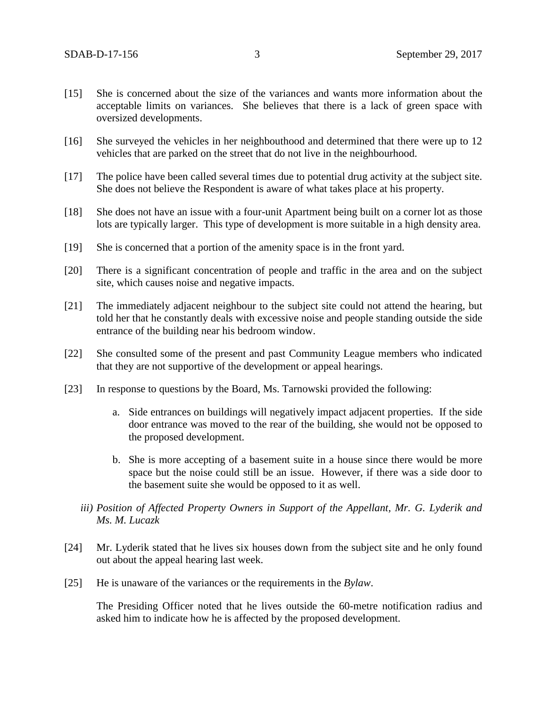- [15] She is concerned about the size of the variances and wants more information about the acceptable limits on variances. She believes that there is a lack of green space with oversized developments.
- [16] She surveyed the vehicles in her neighbouthood and determined that there were up to 12 vehicles that are parked on the street that do not live in the neighbourhood.
- [17] The police have been called several times due to potential drug activity at the subject site. She does not believe the Respondent is aware of what takes place at his property.
- [18] She does not have an issue with a four-unit Apartment being built on a corner lot as those lots are typically larger. This type of development is more suitable in a high density area.
- [19] She is concerned that a portion of the amenity space is in the front yard.
- [20] There is a significant concentration of people and traffic in the area and on the subject site, which causes noise and negative impacts.
- [21] The immediately adjacent neighbour to the subject site could not attend the hearing, but told her that he constantly deals with excessive noise and people standing outside the side entrance of the building near his bedroom window.
- [22] She consulted some of the present and past Community League members who indicated that they are not supportive of the development or appeal hearings.
- [23] In response to questions by the Board, Ms. Tarnowski provided the following:
	- a. Side entrances on buildings will negatively impact adjacent properties. If the side door entrance was moved to the rear of the building, she would not be opposed to the proposed development.
	- b. She is more accepting of a basement suite in a house since there would be more space but the noise could still be an issue. However, if there was a side door to the basement suite she would be opposed to it as well.
	- *iii) Position of Affected Property Owners in Support of the Appellant, Mr. G. Lyderik and Ms. M. Lucazk*
- [24] Mr. Lyderik stated that he lives six houses down from the subject site and he only found out about the appeal hearing last week.
- [25] He is unaware of the variances or the requirements in the *Bylaw*.

The Presiding Officer noted that he lives outside the 60-metre notification radius and asked him to indicate how he is affected by the proposed development.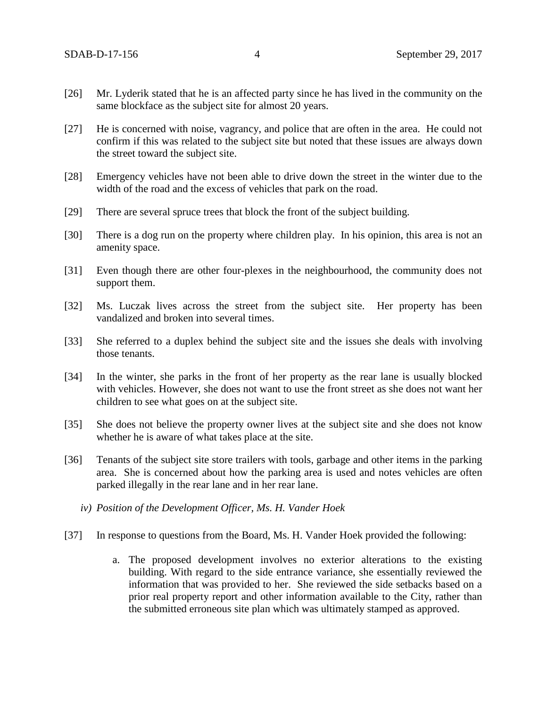- [26] Mr. Lyderik stated that he is an affected party since he has lived in the community on the same blockface as the subject site for almost 20 years.
- [27] He is concerned with noise, vagrancy, and police that are often in the area. He could not confirm if this was related to the subject site but noted that these issues are always down the street toward the subject site.
- [28] Emergency vehicles have not been able to drive down the street in the winter due to the width of the road and the excess of vehicles that park on the road.
- [29] There are several spruce trees that block the front of the subject building.
- [30] There is a dog run on the property where children play. In his opinion, this area is not an amenity space.
- [31] Even though there are other four-plexes in the neighbourhood, the community does not support them.
- [32] Ms. Luczak lives across the street from the subject site. Her property has been vandalized and broken into several times.
- [33] She referred to a duplex behind the subject site and the issues she deals with involving those tenants.
- [34] In the winter, she parks in the front of her property as the rear lane is usually blocked with vehicles. However, she does not want to use the front street as she does not want her children to see what goes on at the subject site.
- [35] She does not believe the property owner lives at the subject site and she does not know whether he is aware of what takes place at the site.
- [36] Tenants of the subject site store trailers with tools, garbage and other items in the parking area. She is concerned about how the parking area is used and notes vehicles are often parked illegally in the rear lane and in her rear lane.
	- *iv) Position of the Development Officer, Ms. H. Vander Hoek*
- [37] In response to questions from the Board, Ms. H. Vander Hoek provided the following:
	- a. The proposed development involves no exterior alterations to the existing building. With regard to the side entrance variance, she essentially reviewed the information that was provided to her. She reviewed the side setbacks based on a prior real property report and other information available to the City, rather than the submitted erroneous site plan which was ultimately stamped as approved.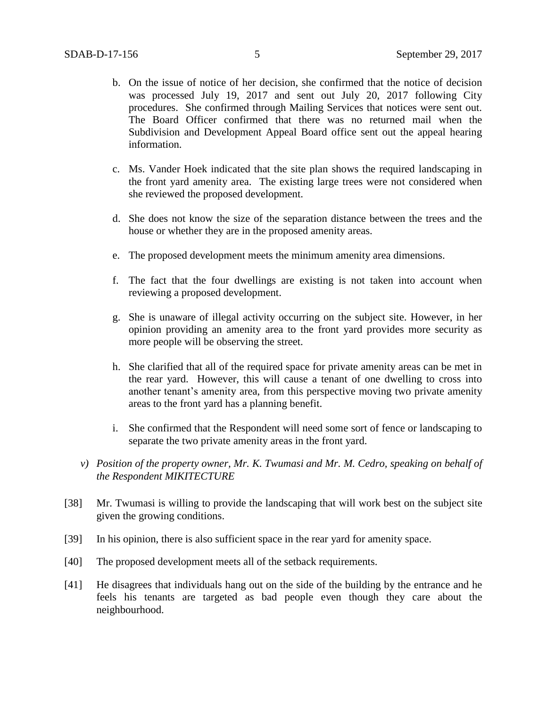- b. On the issue of notice of her decision, she confirmed that the notice of decision was processed July 19, 2017 and sent out July 20, 2017 following City procedures. She confirmed through Mailing Services that notices were sent out. The Board Officer confirmed that there was no returned mail when the Subdivision and Development Appeal Board office sent out the appeal hearing information.
- c. Ms. Vander Hoek indicated that the site plan shows the required landscaping in the front yard amenity area. The existing large trees were not considered when she reviewed the proposed development.
- d. She does not know the size of the separation distance between the trees and the house or whether they are in the proposed amenity areas.
- e. The proposed development meets the minimum amenity area dimensions.
- f. The fact that the four dwellings are existing is not taken into account when reviewing a proposed development.
- g. She is unaware of illegal activity occurring on the subject site. However, in her opinion providing an amenity area to the front yard provides more security as more people will be observing the street.
- h. She clarified that all of the required space for private amenity areas can be met in the rear yard. However, this will cause a tenant of one dwelling to cross into another tenant's amenity area, from this perspective moving two private amenity areas to the front yard has a planning benefit.
- i. She confirmed that the Respondent will need some sort of fence or landscaping to separate the two private amenity areas in the front yard.
- *v) Position of the property owner, Mr. K. Twumasi and Mr. M. Cedro, speaking on behalf of the Respondent MIKITECTURE*
- [38] Mr. Twumasi is willing to provide the landscaping that will work best on the subject site given the growing conditions.
- [39] In his opinion, there is also sufficient space in the rear yard for amenity space.
- [40] The proposed development meets all of the setback requirements.
- [41] He disagrees that individuals hang out on the side of the building by the entrance and he feels his tenants are targeted as bad people even though they care about the neighbourhood.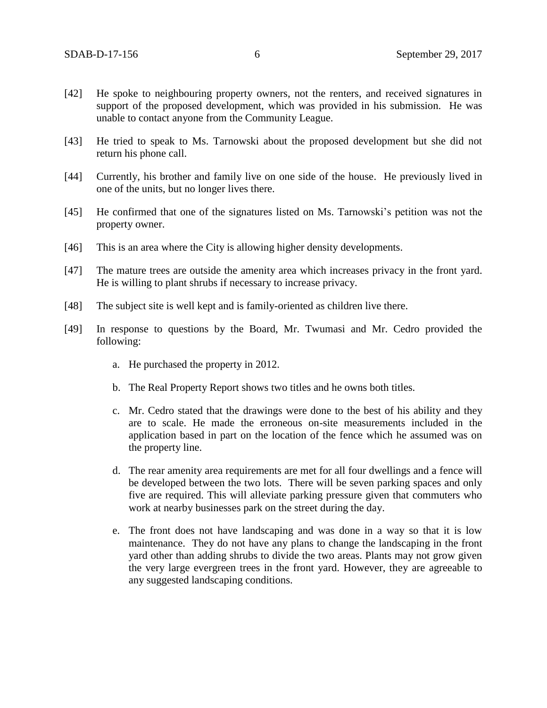- [42] He spoke to neighbouring property owners, not the renters, and received signatures in support of the proposed development, which was provided in his submission. He was unable to contact anyone from the Community League.
- [43] He tried to speak to Ms. Tarnowski about the proposed development but she did not return his phone call.
- [44] Currently, his brother and family live on one side of the house. He previously lived in one of the units, but no longer lives there.
- [45] He confirmed that one of the signatures listed on Ms. Tarnowski's petition was not the property owner.
- [46] This is an area where the City is allowing higher density developments.
- [47] The mature trees are outside the amenity area which increases privacy in the front yard. He is willing to plant shrubs if necessary to increase privacy.
- [48] The subject site is well kept and is family-oriented as children live there.
- [49] In response to questions by the Board, Mr. Twumasi and Mr. Cedro provided the following:
	- a. He purchased the property in 2012.
	- b. The Real Property Report shows two titles and he owns both titles.
	- c. Mr. Cedro stated that the drawings were done to the best of his ability and they are to scale. He made the erroneous on-site measurements included in the application based in part on the location of the fence which he assumed was on the property line.
	- d. The rear amenity area requirements are met for all four dwellings and a fence will be developed between the two lots. There will be seven parking spaces and only five are required. This will alleviate parking pressure given that commuters who work at nearby businesses park on the street during the day.
	- e. The front does not have landscaping and was done in a way so that it is low maintenance. They do not have any plans to change the landscaping in the front yard other than adding shrubs to divide the two areas. Plants may not grow given the very large evergreen trees in the front yard. However, they are agreeable to any suggested landscaping conditions.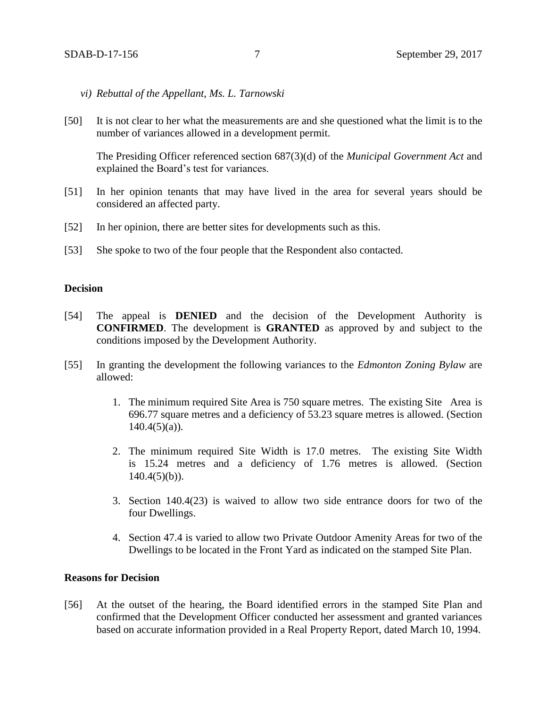- *vi) Rebuttal of the Appellant, Ms. L. Tarnowski*
- [50] It is not clear to her what the measurements are and she questioned what the limit is to the number of variances allowed in a development permit.

The Presiding Officer referenced section 687(3)(d) of the *Municipal Government Act* and explained the Board's test for variances.

- [51] In her opinion tenants that may have lived in the area for several years should be considered an affected party.
- [52] In her opinion, there are better sites for developments such as this.
- [53] She spoke to two of the four people that the Respondent also contacted.

#### **Decision**

- [54] The appeal is **DENIED** and the decision of the Development Authority is **CONFIRMED**. The development is **GRANTED** as approved by and subject to the conditions imposed by the Development Authority.
- [55] In granting the development the following variances to the *Edmonton Zoning Bylaw* are allowed:
	- 1. The minimum required Site Area is 750 square metres. The existing Site Area is 696.77 square metres and a deficiency of 53.23 square metres is allowed. (Section  $140.4(5)(a)$ ).
	- 2. The minimum required Site Width is 17.0 metres. The existing Site Width is 15.24 metres and a deficiency of 1.76 metres is allowed. (Section  $140.4(5)(b)$ ).
	- 3. Section 140.4(23) is waived to allow two side entrance doors for two of the four Dwellings.
	- 4. Section 47.4 is varied to allow two Private Outdoor Amenity Areas for two of the Dwellings to be located in the Front Yard as indicated on the stamped Site Plan.

# **Reasons for Decision**

[56] At the outset of the hearing, the Board identified errors in the stamped Site Plan and confirmed that the Development Officer conducted her assessment and granted variances based on accurate information provided in a Real Property Report, dated March 10, 1994.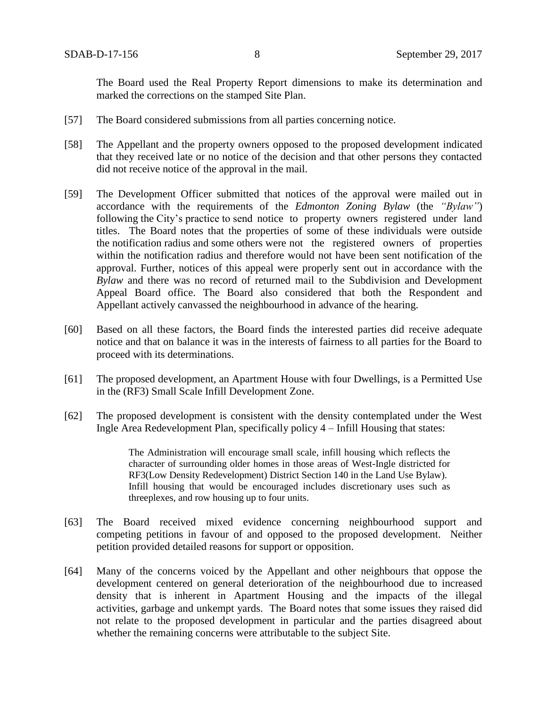The Board used the Real Property Report dimensions to make its determination and marked the corrections on the stamped Site Plan.

- [57] The Board considered submissions from all parties concerning notice.
- [58] The Appellant and the property owners opposed to the proposed development indicated that they received late or no notice of the decision and that other persons they contacted did not receive notice of the approval in the mail.
- [59] The Development Officer submitted that notices of the approval were mailed out in accordance with the requirements of the *Edmonton Zoning Bylaw* (the *"Bylaw"*) following the City's practice to send notice to property owners registered under land titles. The Board notes that the properties of some of these individuals were outside the notification radius and some others were not the registered owners of properties within the notification radius and therefore would not have been sent notification of the approval. Further, notices of this appeal were properly sent out in accordance with the *Bylaw* and there was no record of returned mail to the Subdivision and Development Appeal Board office. The Board also considered that both the Respondent and Appellant actively canvassed the neighbourhood in advance of the hearing.
- [60] Based on all these factors, the Board finds the interested parties did receive adequate notice and that on balance it was in the interests of fairness to all parties for the Board to proceed with its determinations.
- [61] The proposed development, an Apartment House with four Dwellings, is a Permitted Use in the (RF3) Small Scale Infill Development Zone.
- [62] The proposed development is consistent with the density contemplated under the West Ingle Area Redevelopment Plan, specifically policy 4 – Infill Housing that states:

The Administration will encourage small scale, infill housing which reflects the character of surrounding older homes in those areas of West-Ingle districted for RF3(Low Density Redevelopment) District Section 140 in the Land Use Bylaw). Infill housing that would be encouraged includes discretionary uses such as threeplexes, and row housing up to four units.

- [63] The Board received mixed evidence concerning neighbourhood support and competing petitions in favour of and opposed to the proposed development. Neither petition provided detailed reasons for support or opposition.
- [64] Many of the concerns voiced by the Appellant and other neighbours that oppose the development centered on general deterioration of the neighbourhood due to increased density that is inherent in Apartment Housing and the impacts of the illegal activities, garbage and unkempt yards. The Board notes that some issues they raised did not relate to the proposed development in particular and the parties disagreed about whether the remaining concerns were attributable to the subject Site.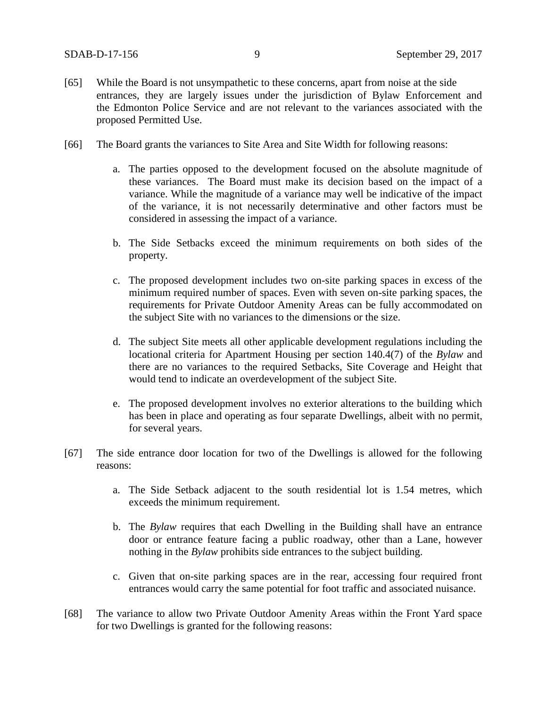- [65] While the Board is not unsympathetic to these concerns, apart from noise at the side entrances, they are largely issues under the jurisdiction of Bylaw Enforcement and the Edmonton Police Service and are not relevant to the variances associated with the proposed Permitted Use.
- [66] The Board grants the variances to Site Area and Site Width for following reasons:
	- a. The parties opposed to the development focused on the absolute magnitude of these variances. The Board must make its decision based on the impact of a variance. While the magnitude of a variance may well be indicative of the impact of the variance, it is not necessarily determinative and other factors must be considered in assessing the impact of a variance.
	- b. The Side Setbacks exceed the minimum requirements on both sides of the property.
	- c. The proposed development includes two on-site parking spaces in excess of the minimum required number of spaces. Even with seven on-site parking spaces, the requirements for Private Outdoor Amenity Areas can be fully accommodated on the subject Site with no variances to the dimensions or the size.
	- d. The subject Site meets all other applicable development regulations including the locational criteria for Apartment Housing per section 140.4(7) of the *Bylaw* and there are no variances to the required Setbacks, Site Coverage and Height that would tend to indicate an overdevelopment of the subject Site.
	- e. The proposed development involves no exterior alterations to the building which has been in place and operating as four separate Dwellings, albeit with no permit, for several years.
- [67] The side entrance door location for two of the Dwellings is allowed for the following reasons:
	- a. The Side Setback adjacent to the south residential lot is 1.54 metres, which exceeds the minimum requirement.
	- b. The *Bylaw* requires that each Dwelling in the Building shall have an entrance door or entrance feature facing a public roadway, other than a Lane, however nothing in the *Bylaw* prohibits side entrances to the subject building.
	- c. Given that on-site parking spaces are in the rear, accessing four required front entrances would carry the same potential for foot traffic and associated nuisance.
- [68] The variance to allow two Private Outdoor Amenity Areas within the Front Yard space for two Dwellings is granted for the following reasons: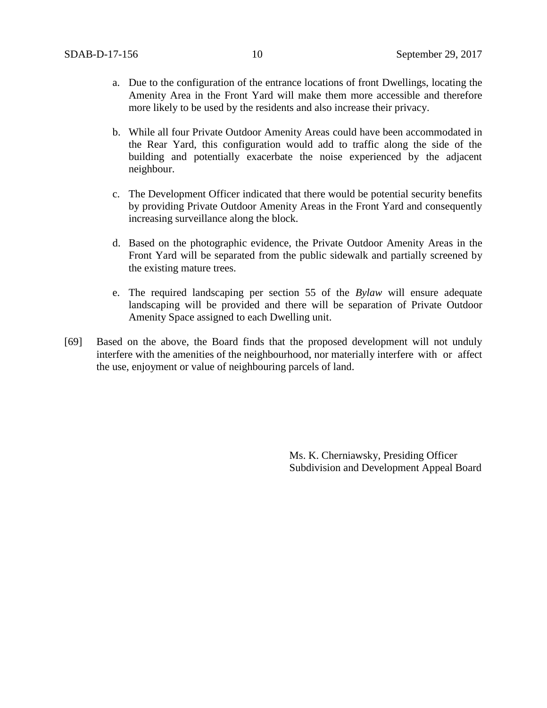- a. Due to the configuration of the entrance locations of front Dwellings, locating the Amenity Area in the Front Yard will make them more accessible and therefore more likely to be used by the residents and also increase their privacy.
- b. While all four Private Outdoor Amenity Areas could have been accommodated in the Rear Yard, this configuration would add to traffic along the side of the building and potentially exacerbate the noise experienced by the adjacent neighbour.
- c. The Development Officer indicated that there would be potential security benefits by providing Private Outdoor Amenity Areas in the Front Yard and consequently increasing surveillance along the block.
- d. Based on the photographic evidence, the Private Outdoor Amenity Areas in the Front Yard will be separated from the public sidewalk and partially screened by the existing mature trees.
- e. The required landscaping per section 55 of the *Bylaw* will ensure adequate landscaping will be provided and there will be separation of Private Outdoor Amenity Space assigned to each Dwelling unit.
- [69] Based on the above, the Board finds that the proposed development will not unduly interfere with the amenities of the neighbourhood, nor materially interfere with or affect the use, enjoyment or value of neighbouring parcels of land.

Ms. K. Cherniawsky, Presiding Officer Subdivision and Development Appeal Board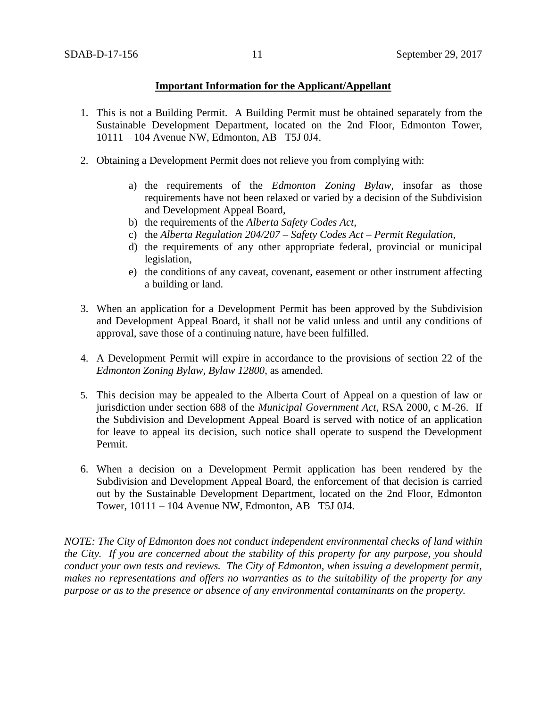# **Important Information for the Applicant/Appellant**

- 1. This is not a Building Permit. A Building Permit must be obtained separately from the Sustainable Development Department, located on the 2nd Floor, Edmonton Tower, 10111 – 104 Avenue NW, Edmonton, AB T5J 0J4.
- 2. Obtaining a Development Permit does not relieve you from complying with:
	- a) the requirements of the *Edmonton Zoning Bylaw*, insofar as those requirements have not been relaxed or varied by a decision of the Subdivision and Development Appeal Board,
	- b) the requirements of the *Alberta Safety Codes Act*,
	- c) the *Alberta Regulation 204/207 – Safety Codes Act – Permit Regulation*,
	- d) the requirements of any other appropriate federal, provincial or municipal legislation,
	- e) the conditions of any caveat, covenant, easement or other instrument affecting a building or land.
- 3. When an application for a Development Permit has been approved by the Subdivision and Development Appeal Board, it shall not be valid unless and until any conditions of approval, save those of a continuing nature, have been fulfilled.
- 4. A Development Permit will expire in accordance to the provisions of section 22 of the *Edmonton Zoning Bylaw, Bylaw 12800*, as amended.
- 5. This decision may be appealed to the Alberta Court of Appeal on a question of law or jurisdiction under section 688 of the *Municipal Government Act*, RSA 2000, c M-26. If the Subdivision and Development Appeal Board is served with notice of an application for leave to appeal its decision, such notice shall operate to suspend the Development Permit.
- 6. When a decision on a Development Permit application has been rendered by the Subdivision and Development Appeal Board, the enforcement of that decision is carried out by the Sustainable Development Department, located on the 2nd Floor, Edmonton Tower, 10111 – 104 Avenue NW, Edmonton, AB T5J 0J4.

*NOTE: The City of Edmonton does not conduct independent environmental checks of land within the City. If you are concerned about the stability of this property for any purpose, you should conduct your own tests and reviews. The City of Edmonton, when issuing a development permit, makes no representations and offers no warranties as to the suitability of the property for any purpose or as to the presence or absence of any environmental contaminants on the property.*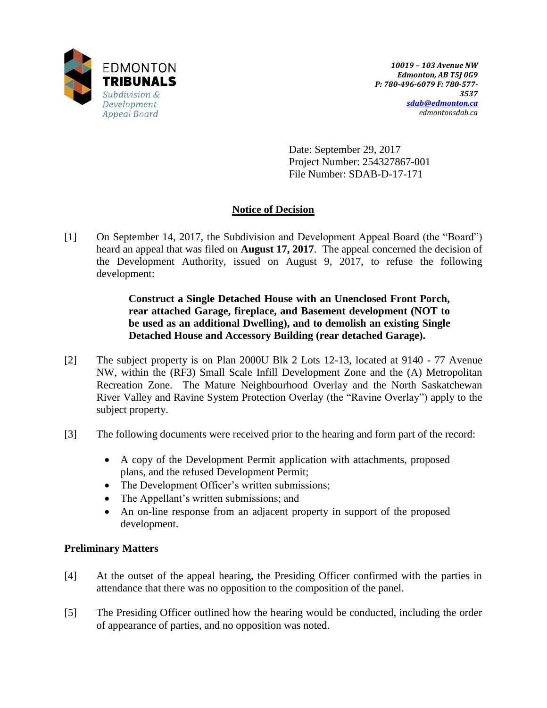

Date: September 29, 2017 Project Number: 254327867-001 File Number: SDAB-D-17-171

# **Notice of Decision**

[1] On September 14, 2017, the Subdivision and Development Appeal Board (the "Board") heard an appeal that was filed on **August 17, 2017**. The appeal concerned the decision of the Development Authority, issued on August 9, 2017, to refuse the following development:

> **Construct a Single Detached House with an Unenclosed Front Porch, rear attached Garage, fireplace, and Basement development (NOT to be used as an additional Dwelling), and to demolish an existing Single Detached House and Accessory Building (rear detached Garage).**

- [2] The subject property is on Plan 2000U Blk 2 Lots 12-13, located at 9140 77 Avenue NW, within the (RF3) Small Scale Infill Development Zone and the (A) Metropolitan Recreation Zone. The Mature Neighbourhood Overlay and the North Saskatchewan River Valley and Ravine System Protection Overlay (the "Ravine Overlay") apply to the subject property.
- [3] The following documents were received prior to the hearing and form part of the record:
	- A copy of the Development Permit application with attachments, proposed plans, and the refused Development Permit;
	- The Development Officer's written submissions;
	- The Appellant's written submissions; and
	- An on-line response from an adjacent property in support of the proposed development.

# **Preliminary Matters**

- [4] At the outset of the appeal hearing, the Presiding Officer confirmed with the parties in attendance that there was no opposition to the composition of the panel.
- [5] The Presiding Officer outlined how the hearing would be conducted, including the order of appearance of parties, and no opposition was noted.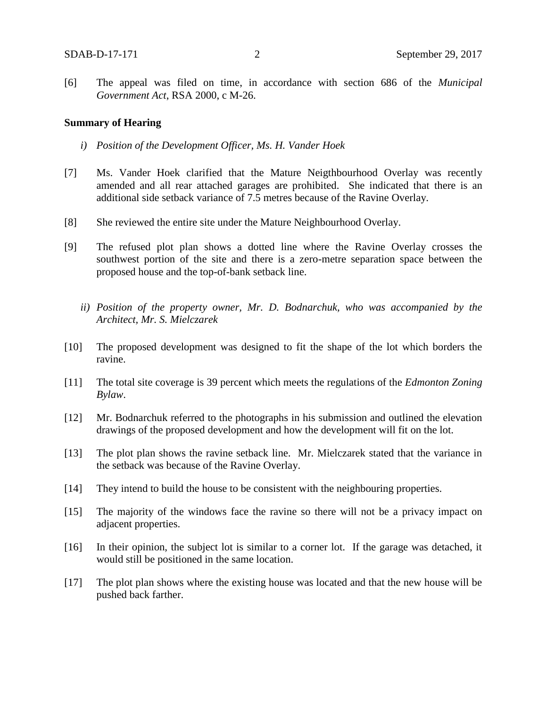[6] The appeal was filed on time, in accordance with section 686 of the *Municipal Government Act*, RSA 2000, c M-26.

### **Summary of Hearing**

- *i) Position of the Development Officer, Ms. H. Vander Hoek*
- [7] Ms. Vander Hoek clarified that the Mature Neigthbourhood Overlay was recently amended and all rear attached garages are prohibited. She indicated that there is an additional side setback variance of 7.5 metres because of the Ravine Overlay.
- [8] She reviewed the entire site under the Mature Neighbourhood Overlay.
- [9] The refused plot plan shows a dotted line where the Ravine Overlay crosses the southwest portion of the site and there is a zero-metre separation space between the proposed house and the top-of-bank setback line.
	- *ii) Position of the property owner, Mr. D. Bodnarchuk, who was accompanied by the Architect, Mr. S. Mielczarek*
- [10] The proposed development was designed to fit the shape of the lot which borders the ravine.
- [11] The total site coverage is 39 percent which meets the regulations of the *Edmonton Zoning Bylaw*.
- [12] Mr. Bodnarchuk referred to the photographs in his submission and outlined the elevation drawings of the proposed development and how the development will fit on the lot.
- [13] The plot plan shows the ravine setback line. Mr. Mielczarek stated that the variance in the setback was because of the Ravine Overlay.
- [14] They intend to build the house to be consistent with the neighbouring properties.
- [15] The majority of the windows face the ravine so there will not be a privacy impact on adjacent properties.
- [16] In their opinion, the subject lot is similar to a corner lot. If the garage was detached, it would still be positioned in the same location.
- [17] The plot plan shows where the existing house was located and that the new house will be pushed back farther.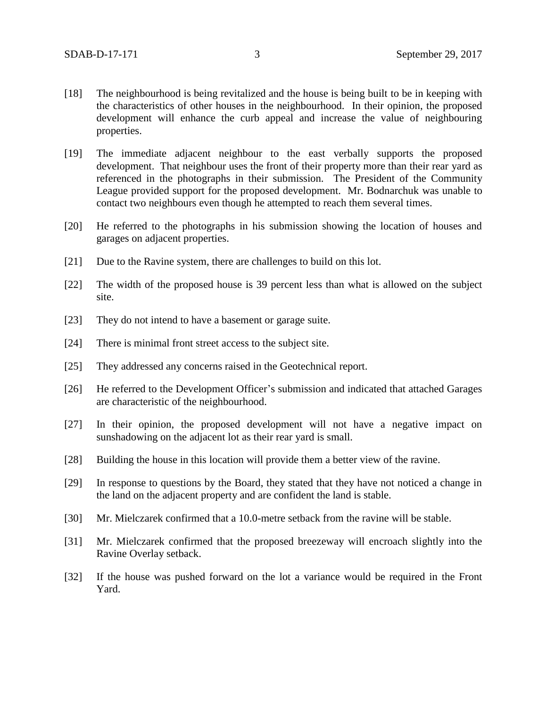- [18] The neighbourhood is being revitalized and the house is being built to be in keeping with the characteristics of other houses in the neighbourhood. In their opinion, the proposed development will enhance the curb appeal and increase the value of neighbouring properties.
- [19] The immediate adjacent neighbour to the east verbally supports the proposed development. That neighbour uses the front of their property more than their rear yard as referenced in the photographs in their submission. The President of the Community League provided support for the proposed development. Mr. Bodnarchuk was unable to contact two neighbours even though he attempted to reach them several times.
- [20] He referred to the photographs in his submission showing the location of houses and garages on adjacent properties.
- [21] Due to the Ravine system, there are challenges to build on this lot.
- [22] The width of the proposed house is 39 percent less than what is allowed on the subject site.
- [23] They do not intend to have a basement or garage suite.
- [24] There is minimal front street access to the subject site.
- [25] They addressed any concerns raised in the Geotechnical report.
- [26] He referred to the Development Officer's submission and indicated that attached Garages are characteristic of the neighbourhood.
- [27] In their opinion, the proposed development will not have a negative impact on sunshadowing on the adjacent lot as their rear yard is small.
- [28] Building the house in this location will provide them a better view of the ravine.
- [29] In response to questions by the Board, they stated that they have not noticed a change in the land on the adjacent property and are confident the land is stable.
- [30] Mr. Mielczarek confirmed that a 10.0-metre setback from the ravine will be stable.
- [31] Mr. Mielczarek confirmed that the proposed breezeway will encroach slightly into the Ravine Overlay setback.
- [32] If the house was pushed forward on the lot a variance would be required in the Front Yard.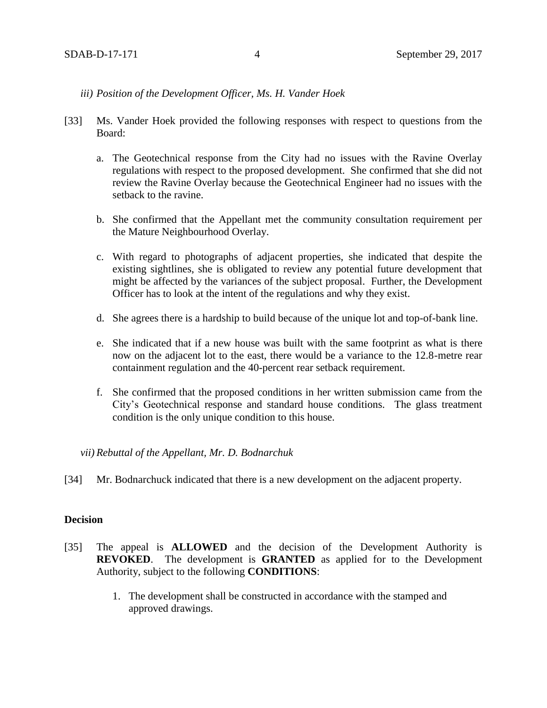### *iii) Position of the Development Officer, Ms. H. Vander Hoek*

- [33] Ms. Vander Hoek provided the following responses with respect to questions from the Board:
	- a. The Geotechnical response from the City had no issues with the Ravine Overlay regulations with respect to the proposed development. She confirmed that she did not review the Ravine Overlay because the Geotechnical Engineer had no issues with the setback to the ravine.
	- b. She confirmed that the Appellant met the community consultation requirement per the Mature Neighbourhood Overlay.
	- c. With regard to photographs of adjacent properties, she indicated that despite the existing sightlines, she is obligated to review any potential future development that might be affected by the variances of the subject proposal. Further, the Development Officer has to look at the intent of the regulations and why they exist.
	- d. She agrees there is a hardship to build because of the unique lot and top-of-bank line.
	- e. She indicated that if a new house was built with the same footprint as what is there now on the adjacent lot to the east, there would be a variance to the 12.8-metre rear containment regulation and the 40-percent rear setback requirement.
	- f. She confirmed that the proposed conditions in her written submission came from the City's Geotechnical response and standard house conditions. The glass treatment condition is the only unique condition to this house.

### *vii) Rebuttal of the Appellant, Mr. D. Bodnarchuk*

[34] Mr. Bodnarchuck indicated that there is a new development on the adjacent property.

### **Decision**

- [35] The appeal is **ALLOWED** and the decision of the Development Authority is **REVOKED**. The development is **GRANTED** as applied for to the Development Authority, subject to the following **CONDITIONS**:
	- 1. The development shall be constructed in accordance with the stamped and approved drawings.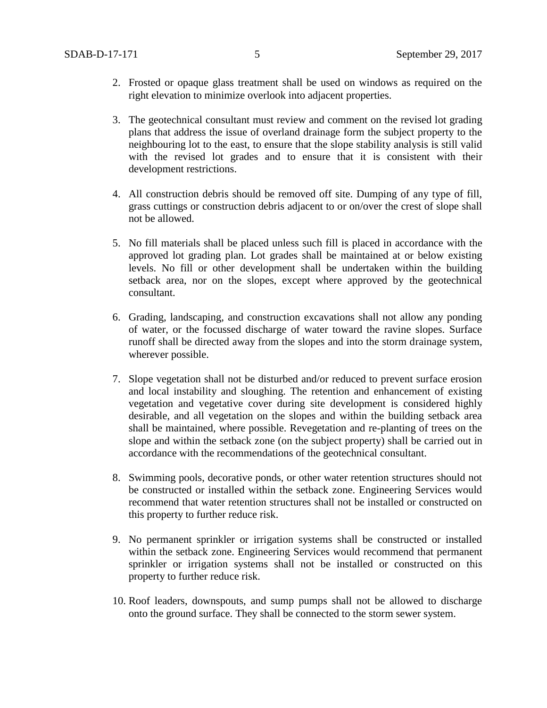- 2. Frosted or opaque glass treatment shall be used on windows as required on the right elevation to minimize overlook into adjacent properties.
- 3. The geotechnical consultant must review and comment on the revised lot grading plans that address the issue of overland drainage form the subject property to the neighbouring lot to the east, to ensure that the slope stability analysis is still valid with the revised lot grades and to ensure that it is consistent with their development restrictions.
- 4. All construction debris should be removed off site. Dumping of any type of fill, grass cuttings or construction debris adjacent to or on/over the crest of slope shall not be allowed.
- 5. No fill materials shall be placed unless such fill is placed in accordance with the approved lot grading plan. Lot grades shall be maintained at or below existing levels. No fill or other development shall be undertaken within the building setback area, nor on the slopes, except where approved by the geotechnical consultant.
- 6. Grading, landscaping, and construction excavations shall not allow any ponding of water, or the focussed discharge of water toward the ravine slopes. Surface runoff shall be directed away from the slopes and into the storm drainage system, wherever possible.
- 7. Slope vegetation shall not be disturbed and/or reduced to prevent surface erosion and local instability and sloughing. The retention and enhancement of existing vegetation and vegetative cover during site development is considered highly desirable, and all vegetation on the slopes and within the building setback area shall be maintained, where possible. Revegetation and re-planting of trees on the slope and within the setback zone (on the subject property) shall be carried out in accordance with the recommendations of the geotechnical consultant.
- 8. Swimming pools, decorative ponds, or other water retention structures should not be constructed or installed within the setback zone. Engineering Services would recommend that water retention structures shall not be installed or constructed on this property to further reduce risk.
- 9. No permanent sprinkler or irrigation systems shall be constructed or installed within the setback zone. Engineering Services would recommend that permanent sprinkler or irrigation systems shall not be installed or constructed on this property to further reduce risk.
- 10. Roof leaders, downspouts, and sump pumps shall not be allowed to discharge onto the ground surface. They shall be connected to the storm sewer system.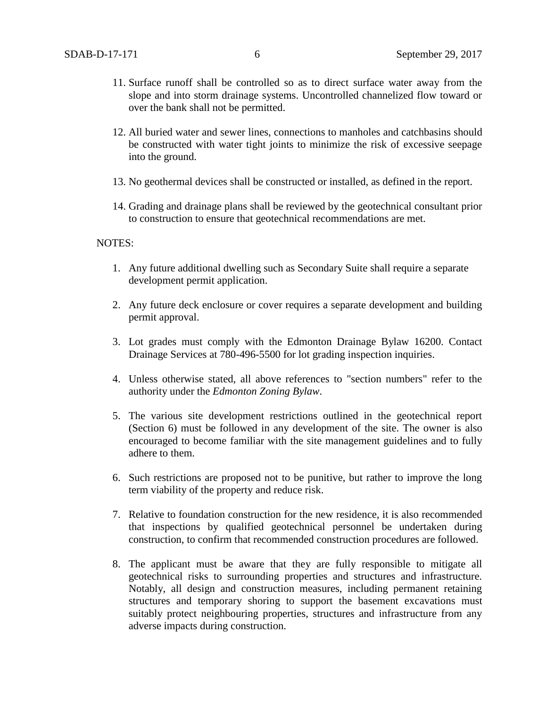- 11. Surface runoff shall be controlled so as to direct surface water away from the slope and into storm drainage systems. Uncontrolled channelized flow toward or over the bank shall not be permitted.
- 12. All buried water and sewer lines, connections to manholes and catchbasins should be constructed with water tight joints to minimize the risk of excessive seepage into the ground.
- 13. No geothermal devices shall be constructed or installed, as defined in the report.
- 14. Grading and drainage plans shall be reviewed by the geotechnical consultant prior to construction to ensure that geotechnical recommendations are met.

## NOTES:

- 1. Any future additional dwelling such as Secondary Suite shall require a separate development permit application.
- 2. Any future deck enclosure or cover requires a separate development and building permit approval.
- 3. Lot grades must comply with the Edmonton Drainage Bylaw 16200. Contact Drainage Services at 780-496-5500 for lot grading inspection inquiries.
- 4. Unless otherwise stated, all above references to "section numbers" refer to the authority under the *Edmonton Zoning Bylaw*.
- 5. The various site development restrictions outlined in the geotechnical report (Section 6) must be followed in any development of the site. The owner is also encouraged to become familiar with the site management guidelines and to fully adhere to them.
- 6. Such restrictions are proposed not to be punitive, but rather to improve the long term viability of the property and reduce risk.
- 7. Relative to foundation construction for the new residence, it is also recommended that inspections by qualified geotechnical personnel be undertaken during construction, to confirm that recommended construction procedures are followed.
- 8. The applicant must be aware that they are fully responsible to mitigate all geotechnical risks to surrounding properties and structures and infrastructure. Notably, all design and construction measures, including permanent retaining structures and temporary shoring to support the basement excavations must suitably protect neighbouring properties, structures and infrastructure from any adverse impacts during construction.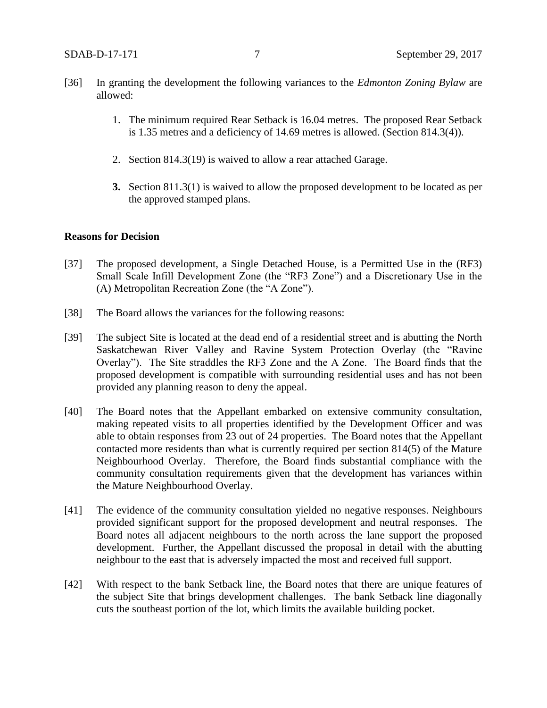- [36] In granting the development the following variances to the *Edmonton Zoning Bylaw* are allowed:
	- 1. The minimum required Rear Setback is 16.04 metres. The proposed Rear Setback is 1.35 metres and a deficiency of 14.69 metres is allowed. (Section 814.3(4)).
	- 2. Section 814.3(19) is waived to allow a rear attached Garage.
	- **3.** Section 811.3(1) is waived to allow the proposed development to be located as per the approved stamped plans.

### **Reasons for Decision**

- [37] The proposed development, a Single Detached House, is a Permitted Use in the (RF3) Small Scale Infill Development Zone (the "RF3 Zone") and a Discretionary Use in the (A) Metropolitan Recreation Zone (the "A Zone").
- [38] The Board allows the variances for the following reasons:
- [39] The subject Site is located at the dead end of a residential street and is abutting the North Saskatchewan River Valley and Ravine System Protection Overlay (the "Ravine Overlay"). The Site straddles the RF3 Zone and the A Zone. The Board finds that the proposed development is compatible with surrounding residential uses and has not been provided any planning reason to deny the appeal.
- [40] The Board notes that the Appellant embarked on extensive community consultation, making repeated visits to all properties identified by the Development Officer and was able to obtain responses from 23 out of 24 properties. The Board notes that the Appellant contacted more residents than what is currently required per section 814(5) of the Mature Neighbourhood Overlay. Therefore, the Board finds substantial compliance with the community consultation requirements given that the development has variances within the Mature Neighbourhood Overlay.
- [41] The evidence of the community consultation yielded no negative responses. Neighbours provided significant support for the proposed development and neutral responses. The Board notes all adjacent neighbours to the north across the lane support the proposed development. Further, the Appellant discussed the proposal in detail with the abutting neighbour to the east that is adversely impacted the most and received full support.
- [42] With respect to the bank Setback line, the Board notes that there are unique features of the subject Site that brings development challenges. The bank Setback line diagonally cuts the southeast portion of the lot, which limits the available building pocket.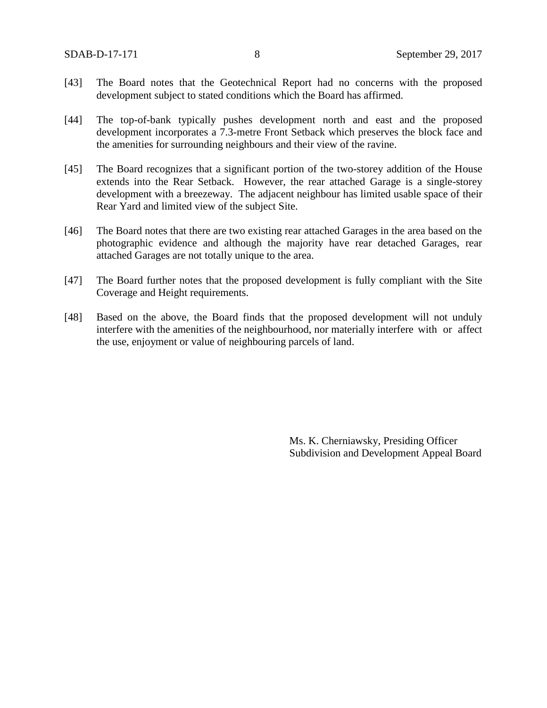- [43] The Board notes that the Geotechnical Report had no concerns with the proposed development subject to stated conditions which the Board has affirmed.
- [44] The top-of-bank typically pushes development north and east and the proposed development incorporates a 7.3-metre Front Setback which preserves the block face and the amenities for surrounding neighbours and their view of the ravine.
- [45] The Board recognizes that a significant portion of the two-storey addition of the House extends into the Rear Setback. However, the rear attached Garage is a single-storey development with a breezeway. The adjacent neighbour has limited usable space of their Rear Yard and limited view of the subject Site.
- [46] The Board notes that there are two existing rear attached Garages in the area based on the photographic evidence and although the majority have rear detached Garages, rear attached Garages are not totally unique to the area.
- [47] The Board further notes that the proposed development is fully compliant with the Site Coverage and Height requirements.
- [48] Based on the above, the Board finds that the proposed development will not unduly interfere with the amenities of the neighbourhood, nor materially interfere with or affect the use, enjoyment or value of neighbouring parcels of land.

Ms. K. Cherniawsky, Presiding Officer Subdivision and Development Appeal Board